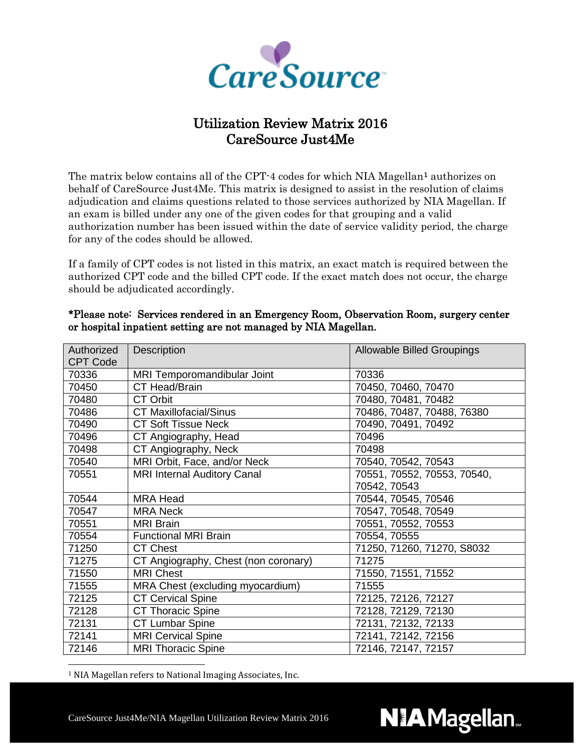

## Utilization Review Matrix 2016 CareSource Just4Me

The matrix below contains all of the CPT-4 codes for which NIA Magellan<sup>[1](#page-0-0)</sup> authorizes on behalf of CareSource Just4Me. This matrix is designed to assist in the resolution of claims adjudication and claims questions related to those services authorized by NIA Magellan. If an exam is billed under any one of the given codes for that grouping and a valid authorization number has been issued within the date of service validity period, the charge for any of the codes should be allowed.

If a family of CPT codes is not listed in this matrix, an exact match is required between the authorized CPT code and the billed CPT code. If the exact match does not occur, the charge should be adjudicated accordingly.

| Authorized<br><b>CPT Code</b> | <b>Description</b>                   | <b>Allowable Billed Groupings</b> |
|-------------------------------|--------------------------------------|-----------------------------------|
|                               |                                      |                                   |
| 70336                         | MRI Temporomandibular Joint          | 70336                             |
| 70450                         | <b>CT Head/Brain</b>                 | 70450, 70460, 70470               |
| 70480                         | <b>CT Orbit</b>                      | 70480, 70481, 70482               |
| 70486                         | <b>CT Maxillofacial/Sinus</b>        | 70486, 70487, 70488, 76380        |
| 70490                         | <b>CT Soft Tissue Neck</b>           | 70490, 70491, 70492               |
| 70496                         | CT Angiography, Head                 | 70496                             |
| 70498                         | CT Angiography, Neck                 | 70498                             |
| 70540                         | MRI Orbit, Face, and/or Neck         | 70540, 70542, 70543               |
| 70551                         | <b>MRI Internal Auditory Canal</b>   | 70551, 70552, 70553, 70540,       |
|                               |                                      | 70542, 70543                      |
| 70544                         | <b>MRA Head</b>                      | 70544, 70545, 70546               |
| 70547                         | <b>MRA Neck</b>                      | 70547, 70548, 70549               |
| 70551                         | <b>MRI Brain</b>                     | 70551, 70552, 70553               |
| 70554                         | <b>Functional MRI Brain</b>          | 70554, 70555                      |
| 71250                         | <b>CT Chest</b>                      | 71250, 71260, 71270, S8032        |
| 71275                         | CT Angiography, Chest (non coronary) | 71275                             |
| 71550                         | <b>MRI Chest</b>                     | 71550, 71551, 71552               |
| 71555                         | MRA Chest (excluding myocardium)     | 71555                             |
| 72125                         | <b>CT Cervical Spine</b>             | 72125, 72126, 72127               |
| 72128                         | <b>CT Thoracic Spine</b>             | 72128, 72129, 72130               |
| 72131                         | <b>CT Lumbar Spine</b>               | 72131, 72132, 72133               |
| 72141                         | <b>MRI Cervical Spine</b>            | 72141, 72142, 72156               |
| 72146                         | <b>MRI Thoracic Spine</b>            | 72146, 72147, 72157               |

**NIAMagellan.** 

## \*Please note: Services rendered in an Emergency Room, Observation Room, surgery center or hospital inpatient setting are not managed by NIA Magellan.

<span id="page-0-0"></span> $\overline{a}$ <sup>1</sup> NIA Magellan refers to National Imaging Associates, Inc.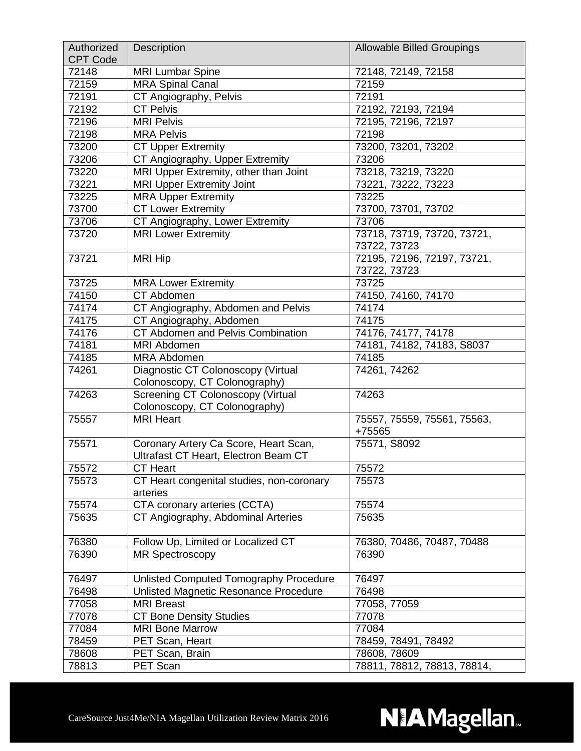| Authorized      | <b>Description</b>                        | <b>Allowable Billed Groupings</b> |
|-----------------|-------------------------------------------|-----------------------------------|
| <b>CPT Code</b> |                                           |                                   |
| 72148           | <b>MRI Lumbar Spine</b>                   | 72148, 72149, 72158               |
| 72159           | <b>MRA Spinal Canal</b>                   | 72159                             |
| 72191           | CT Angiography, Pelvis                    | 72191                             |
| 72192           | <b>CT Pelvis</b>                          | 72192, 72193, 72194               |
| 72196           | <b>MRI Pelvis</b>                         | 72195, 72196, 72197               |
| 72198           | <b>MRA Pelvis</b>                         | 72198                             |
| 73200           | <b>CT Upper Extremity</b>                 | 73200, 73201, 73202               |
| 73206           | CT Angiography, Upper Extremity           | 73206                             |
| 73220           | MRI Upper Extremity, other than Joint     | 73218, 73219, 73220               |
| 73221           | <b>MRI Upper Extremity Joint</b>          | 73221, 73222, 73223               |
| 73225           | <b>MRA Upper Extremity</b>                | 73225                             |
| 73700           | <b>CT Lower Extremity</b>                 | 73700, 73701, 73702               |
| 73706           | CT Angiography, Lower Extremity           | 73706                             |
| 73720           | <b>MRI Lower Extremity</b>                | 73718, 73719, 73720, 73721,       |
|                 |                                           | 73722, 73723                      |
| 73721           | <b>MRI Hip</b>                            | 72195, 72196, 72197, 73721,       |
|                 |                                           | 73722, 73723                      |
| 73725           | <b>MRA Lower Extremity</b>                | 73725                             |
| 74150           | CT Abdomen                                | 74150, 74160, 74170               |
| 74174           | CT Angiography, Abdomen and Pelvis        | 74174                             |
| 74175           | CT Angiography, Abdomen                   | 74175                             |
| 74176           | CT Abdomen and Pelvis Combination         | 74176, 74177, 74178               |
| 74181           | <b>MRI Abdomen</b>                        | 74181, 74182, 74183, S8037        |
| 74185           | <b>MRA Abdomen</b>                        | 74185                             |
| 74261           | Diagnostic CT Colonoscopy (Virtual        | 74261, 74262                      |
|                 | Colonoscopy, CT Colonography)             |                                   |
| 74263           | Screening CT Colonoscopy (Virtual         | 74263                             |
|                 | Colonoscopy, CT Colonography)             |                                   |
| 75557           | <b>MRI Heart</b>                          | 75557, 75559, 75561, 75563,       |
|                 |                                           | +75565                            |
| 75571           | Coronary Artery Ca Score, Heart Scan,     | 75571, S8092                      |
|                 | Ultrafast CT Heart, Electron Beam CT      |                                   |
| 75572           | <b>CT Heart</b>                           | 75572                             |
| 75573           | CT Heart congenital studies, non-coronary | 75573                             |
|                 | arteries                                  |                                   |
| 75574           | CTA coronary arteries (CCTA)              | 75574                             |
| 75635           | CT Angiography, Abdominal Arteries        | 75635                             |
|                 |                                           |                                   |
| 76380           | Follow Up, Limited or Localized CT        | 76380, 70486, 70487, 70488        |
| 76390           | <b>MR Spectroscopy</b>                    | 76390                             |
|                 |                                           |                                   |
| 76497           | Unlisted Computed Tomography Procedure    | 76497                             |
| 76498           | Unlisted Magnetic Resonance Procedure     | 76498                             |
| 77058           | <b>MRI Breast</b>                         | 77058, 77059                      |
| 77078           | <b>CT Bone Density Studies</b>            | 77078                             |
| 77084           | <b>MRI Bone Marrow</b>                    | 77084                             |
| 78459           | PET Scan, Heart                           | 78459, 78491, 78492               |
| 78608           | PET Scan, Brain                           | 78608, 78609                      |
| 78813           | PET Scan                                  | 78811, 78812, 78813, 78814,       |
|                 |                                           |                                   |